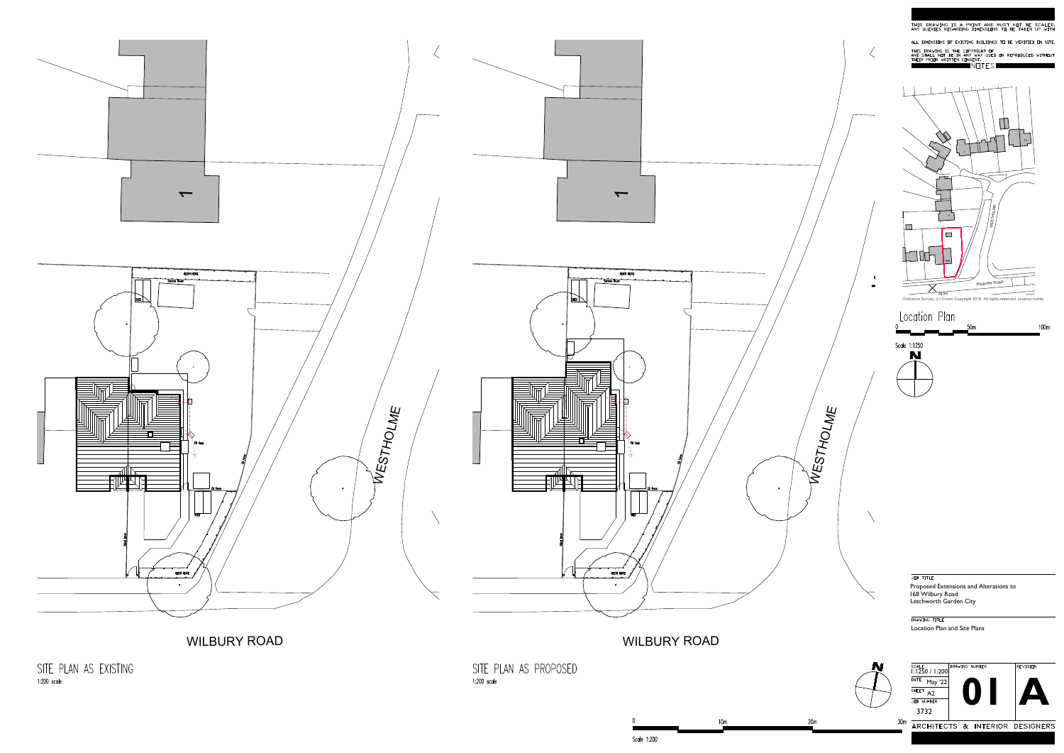<span id="page-0-0"></span>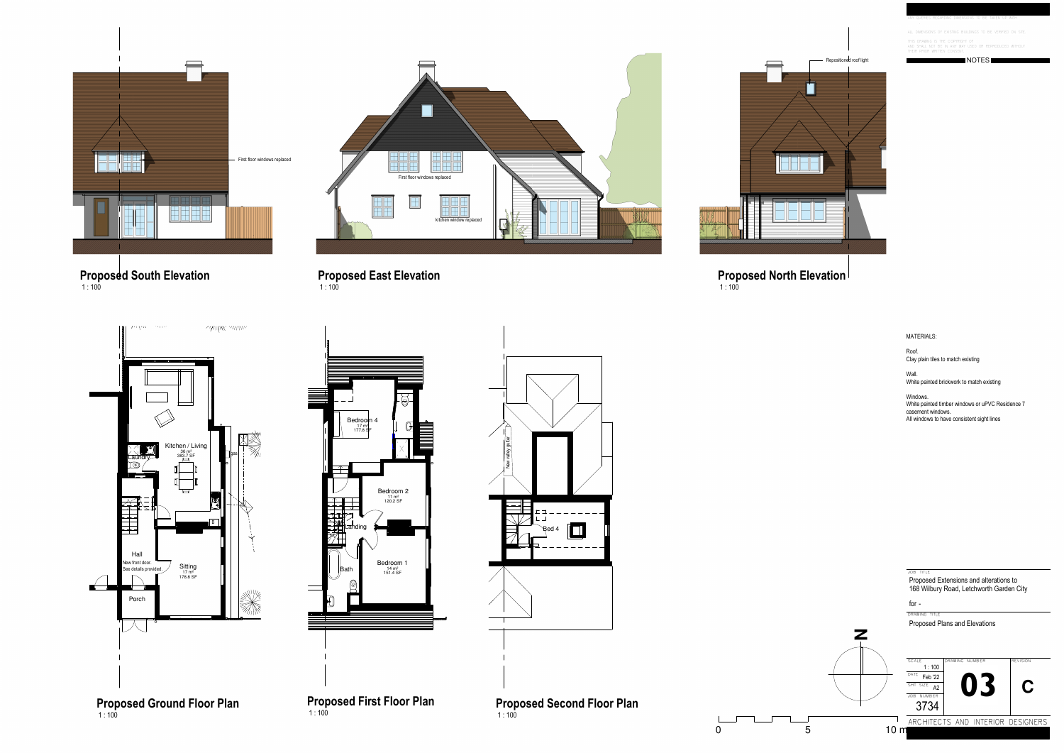

**Proposed Ground Floor Plan Proposed First Floor Plan** 





**Proposed Second Floor Plan** 







NOTES

ANY QUERIES REGARDING DIMENSIONS TO BE TAKEN UP WITH .

ALL DIMENSIONS OF EXISTING BUILDINGS TO BE VERIFIED ON SIT

THIS DRAWING IS THE COPYRIGHT OF<br>AND SHALL NOT BE IN ANY WAY USED OR REPRODUCED WITHOUT<br>THEIR PRIOR WRITTEN CONSENT.

DRAWING TITLEfor

Proposed Plans and Elevations

JOB TITLEProposed Extensions and alterations to



168 Wilbury Road, Letchworth Garden City

1 : 100**Proposed South Elevation**

1 : 100**Proposed East Elevation**

1 : 100**Proposed North Elevation**



Roof.Clay plain tiles to match existing

Wall. White painted brickwork to match existing

Windows. White painted timber windows or uPVC Residence 7 casement windows.All windows to have consistent sight lines